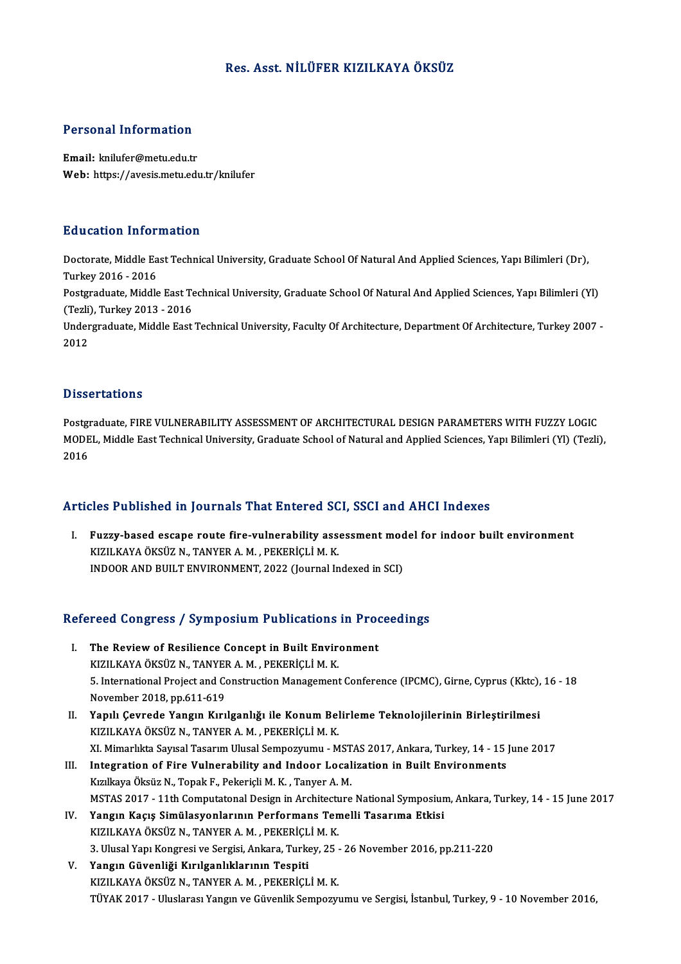# Res. Asst.NİLÜFER KIZILKAYA ÖKSÜZ

# Personal Information

Email: knilufer@metu.edu.tr Web: https://avesis.metu.edu.tr/knilufer

# Education Information

**Education Information**<br>Doctorate, Middle East Technical University, Graduate School Of Natural And Applied Sciences, Yapı Bilimleri (Dr),<br>Turkey 2016 - 2016 Turkey<br>Doctorate, Middle Ea<br>Turkey 2016 - 2016<br>Postavaduate, Middle Doctorate, Middle East Technical University, Graduate School Of Natural And Applied Sciences, Yapı Bilimleri (Dr),<br>Turkey 2016 - 2016<br>Postgraduate, Middle East Technical University, Graduate School Of Natural And Applied S

Turkey 2016 - 2016<br>Postgraduate, Middle East Te<br>(Tezli), Turkey 2013 - 2016<br>Undergraduate, Middle East Postgraduate, Middle East Technical University, Graduate School Of Natural And Applied Sciences, Yapı Bilimleri (Yl)<br>(Tezli), Turkey 2013 - 2016<br>Undergraduate, Middle East Technical University, Faculty Of Architecture, Dep

(Tezli), Turkey 2013 - 2016<br>Undergraduate, Middle East Technical University, Faculty Of Architecture, Department Of Architecture, Turkey 2007 -<br>2012

#### **Dissertations**

**Dissertations<br>Postgraduate, FIRE VULNERABILITY ASSESSMENT OF ARCHITECTURAL DESIGN PARAMETERS WITH FUZZY LOGIC<br>MODEL Middle Feet Technical University Creduate School of Natural and Annlied Sciences Van Bilimleri (VI) (Tecl** D'ISSOT CATISM<br>Postgraduate, FIRE VULNERABILITY ASSESSMENT OF ARCHITECTURAL DESIGN PARAMETERS WITH FUZZY LOGIC<br>MODEL, Middle East Technical University, Graduate School of Natural and Applied Sciences, Yapı Bilimleri (Yl) ( Postgi<br>MODE<br>2016

# Articles Published in Journals That Entered SCI, SSCI and AHCI Indexes

rticles Published in Journals That Entered SCI, SSCI and AHCI Indexes<br>I. Fuzzy-based escape route fire-vulnerability assessment model for indoor built environment<br>VIZU VAVA ÖVSÜZ N. TANVER A M. REVERICLI M. V. KIZILKAYA ÖKSÜZ N., TANYER A. M. , PEKERİÇLİ M. K.<br>INDOOR AND BUILT ENVIRONMENT, 2022 (Journal Indexed in SCI) Fuzzy-based escape route fire-vulnerability assessment mod<br>KIZILKAYA ÖKSÜZ N., TANYER A. M. , PEKERİÇLİ M. K.<br>INDOOR AND BUILT ENVIRONMENT, 2022 (Journal Indexed in SCI)

# INDOOK AND BOILT ENVIRONMENT, 2022 (Journal Indexed in SCI)<br>Refereed Congress / Symposium Publications in Proceedings

- efereed Congress / Symposium Publications in Prod<br>I. The Review of Resilience Concept in Built Environment<br>VIZU VAVA ÖVEÜZ N. TANVER A M. REVERICLI M. V. Teca Congress 7 by inpostant 1 defications<br>The Review of Resilience Concept in Built Environ<br>KIZILKAYA ÖKSÜZ N., TANYER A. M., PEKERİÇLİ M. K. The Review of Resilience Concept in Built Environment<br>KIZILKAYA ÖKSÜZ N., TANYER A. M. , PEKERİÇLİ M. K.<br>5. International Project and Construction Management Conference (IPCMC), Girne, Cyprus (Kktc), 16 - 18<br>Navamber 2018, KIZILKAYA ÖKSÜZ N., TANYEH<br>5. International Project and Co<br>November 2018, pp.611-619<br>Yanılı Courade Yangın Kuri 5. International Project and Construction Management Conference (IPCMC), Girne, Cyprus (Kktc),<br>November 2018, pp.611-619<br>II. Yapılı Çevrede Yangın Kırılganlığı ile Konum Belirleme Teknolojilerinin Birleştirilmesi<br>KIZILKANA
- November 2018, pp.611-619<br>Yapılı Çevrede Yangın Kırılganlığı ile Konum Belirleme Teknolojilerinin Birleştirilmesi<br>KIZILKAYA ÖKSÜZ N., TANYER A. M. , PEKERİÇLİ M. K.<br>XI. Mimarlıkta Savısal Tasarım Ulusal Sempozyumu MSTAS II. Yapılı Çevrede Yangın Kırılganlığı ile Konum Belirleme Teknolojilerinin Birleştirilmesi
- III. Integration of Fire Vulnerability and Indoor Localization in Built Environments KızılkayaÖksüzN.,TopakF.,PekeriçliM.K. ,TanyerA.M. MSTAS 2017 - 11th Computatonal Design in Architecture National Symposium, Ankara, Turkey, 14 - 15 June 2017
- IV. Yangın Kaçış Simülasyonlarının Performans Temelli Tasarıma Etkisi KIZILKAYAÖKSÜZN.,TANYERA.M. ,PEKERİÇLİM.K. 3.UlusalYapıKongresive Sergisi,Ankara,Turkey,25 -26November 2016,pp.211-220
- V. Yangın Güvenliği Kırılganlıklarının Tespiti KIZILKAYAÖKSÜZN.,TANYERA.M. ,PEKERİÇLİM.K. TÜYAK2017 -UluslarasıYangınveGüvenlikSempozyumu ve Sergisi, İstanbul,Turkey,9 -10November 2016,